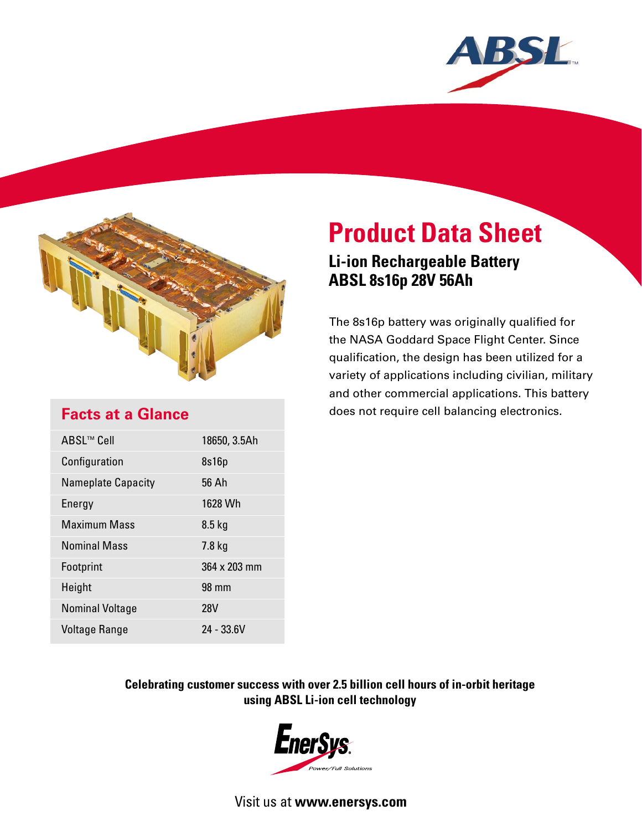



# **Product Data Sheet**

## **Li-ion Rechargeable Battery ABSL 8s16p 28V 56Ah**

The 8s16p battery was originally qualified for the NASA Goddard Space Flight Center. Since qualification, the design has been utilized for a variety of applications including civilian, military and other commercial applications. This battery does not require cell balancing electronics.

## **Facts at a Glance**

| ABSL™ Cell                | 18650, 3.5Ah |
|---------------------------|--------------|
| Configuration             | 8s16p        |
| <b>Nameplate Capacity</b> | 56 Ah        |
| Energy                    | 1628 Wh      |
| <b>Maximum Mass</b>       | $8.5$ kg     |
| <b>Nominal Mass</b>       | $7.8$ kg     |
| Footprint                 | 364 x 203 mm |
| Height                    | 98 mm        |
| <b>Nominal Voltage</b>    | <b>28V</b>   |
| Voltage Range             | 24 - 33.6V   |

### **Celebrating customer success with over 2.5 billion cell hours of in-orbit heritage using ABSL Li-ion cell technology**



Visit us at **www.enersys.com**